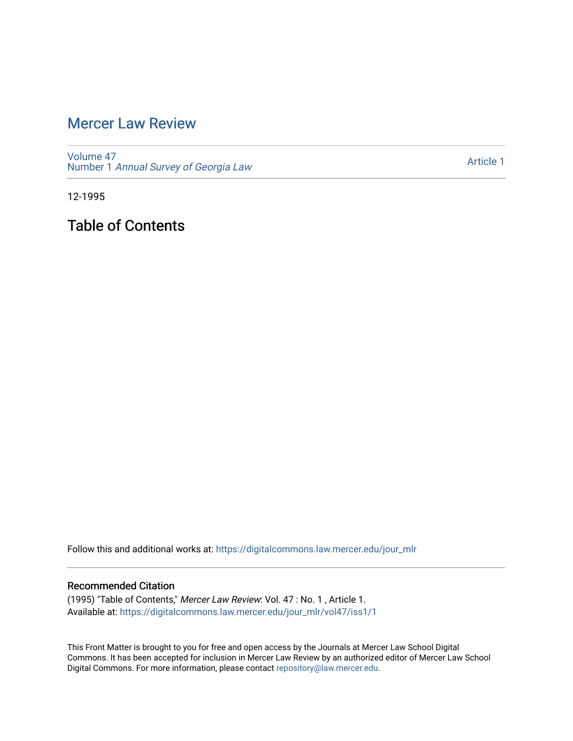# [Mercer Law Review](https://digitalcommons.law.mercer.edu/jour_mlr)

[Volume 47](https://digitalcommons.law.mercer.edu/jour_mlr/vol47) Number 1 [Annual Survey of Georgia Law](https://digitalcommons.law.mercer.edu/jour_mlr/vol47/iss1) 

[Article 1](https://digitalcommons.law.mercer.edu/jour_mlr/vol47/iss1/1) 

12-1995

Table of Contents

Follow this and additional works at: [https://digitalcommons.law.mercer.edu/jour\\_mlr](https://digitalcommons.law.mercer.edu/jour_mlr?utm_source=digitalcommons.law.mercer.edu%2Fjour_mlr%2Fvol47%2Fiss1%2F1&utm_medium=PDF&utm_campaign=PDFCoverPages)

#### Recommended Citation

(1995) "Table of Contents," Mercer Law Review: Vol. 47 : No. 1 , Article 1. Available at: [https://digitalcommons.law.mercer.edu/jour\\_mlr/vol47/iss1/1](https://digitalcommons.law.mercer.edu/jour_mlr/vol47/iss1/1?utm_source=digitalcommons.law.mercer.edu%2Fjour_mlr%2Fvol47%2Fiss1%2F1&utm_medium=PDF&utm_campaign=PDFCoverPages)

This Front Matter is brought to you for free and open access by the Journals at Mercer Law School Digital Commons. It has been accepted for inclusion in Mercer Law Review by an authorized editor of Mercer Law School Digital Commons. For more information, please contact [repository@law.mercer.edu](mailto:repository@law.mercer.edu).